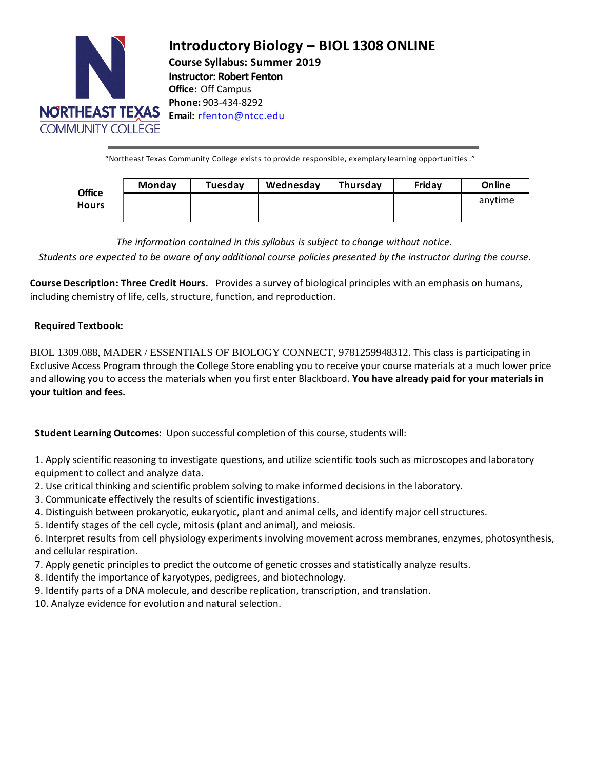

# **Introductory Biology – BIOL 1308 ONLINE Course Syllabus: Summer 2019 Instructor: Robert Fenton Office:** Off Campus **Phone:** 903-434-8292 **Email:** [rfenton@ntcc.edu](mailto:rfenton@ntcc.edu)

"Northeast Texas Community College exists to provide responsible, exemplary learning opportunities ."

| <b>Office</b><br><b>Hours</b> | Monday | Tuesday | Wednesday | Thursday | Friday | Online  |
|-------------------------------|--------|---------|-----------|----------|--------|---------|
|                               |        |         |           |          |        | anytime |
|                               |        |         |           |          |        |         |

*The information contained in this syllabus is subject to change without notice.* Students are expected to be aware of any additional course policies presented by the instructor during the course.

**Course Description: Three Credit Hours.** Provides a survey of biological principles with an emphasis on humans, including chemistry of life, cells, structure, function, and reproduction.

# **Required Textbook:**

BIOL 1309.088, MADER / ESSENTIALS OF BIOLOGY CONNECT, 9781259948312. This class is participating in Exclusive Access Program through the College Store enabling you to receive your course materials at a much lower price and allowing you to access the materials when you first enter Blackboard. **You have already paid for your materials in your tuition and fees.**

**Student Learning Outcomes:** Upon successful completion of this course, students will:

1. Apply scientific reasoning to investigate questions, and utilize scientific tools such as microscopes and laboratory equipment to collect and analyze data.

- 2. Use critical thinking and scientific problem solving to make informed decisions in the laboratory.
- 3. Communicate effectively the results of scientific investigations.
- 4. Distinguish between prokaryotic, eukaryotic, plant and animal cells, and identify major cell structures.
- 5. Identify stages of the cell cycle, mitosis (plant and animal), and meiosis.

6. Interpret results from cell physiology experiments involving movement across membranes, enzymes, photosynthesis, and cellular respiration.

- 7. Apply genetic principles to predict the outcome of genetic crosses and statistically analyze results.
- 8. Identify the importance of karyotypes, pedigrees, and biotechnology.
- 9. Identify parts of a DNA molecule, and describe replication, transcription, and translation.
- 10. Analyze evidence for evolution and natural selection.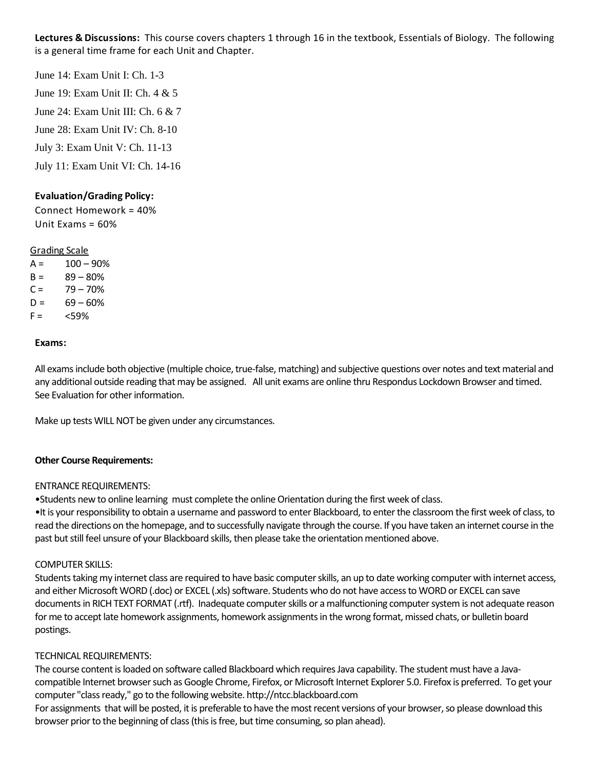**Lectures & Discussions:** This course covers chapters 1 through 16 in the textbook, Essentials of Biology. The following is a general time frame for each Unit and Chapter.

June 14: Exam Unit I: Ch. 1-3 June 19: Exam Unit II: Ch. 4 & 5 June 24: Exam Unit III: Ch. 6 & 7 June 28: Exam Unit IV: Ch. 8-10 July 3: Exam Unit V: Ch. 11-13 July 11: Exam Unit VI: Ch. 14-16

## **Evaluation/Grading Policy:**

Connect Homework = 40% Unit  $Fxams = 60%$ 

#### Grading Scale

 $A = 100 - 90%$  $B = 89 - 80%$  $C = 79 - 70%$  $D = 69 - 60%$  $F = \frac{59\%}{100}$ 

#### **Exams:**

All exams include both objective (multiple choice, true-false, matching) and subjective questions over notes and text material and any additional outside reading that may be assigned. All unit exams are online thru Respondus Lockdown Browser and timed. See Evaluation for other information.

Make up tests WILL NOT be given under any circumstances.

#### **Other Course Requirements:**

#### ENTRANCE REQUIREMENTS:

•Students new to online learning must complete the online Orientation during the first week of class. •It is your responsibility to obtain a username and password to enter Blackboard, to enter the classroom the first week of class, to read the directions on the homepage, and to successfully navigate through the course. If you have taken an internet course in the past but still feel unsure of your Blackboard skills, then please take the orientation mentioned above.

#### COMPUTER SKILLS:

Students taking my internet class are required to have basic computer skills, an up to date working computer with internet access, and either Microsoft WORD (.doc) or EXCEL (.xls) software. Students who do not have access to WORD or EXCEL can save documents in RICH TEXT FORMAT (.rtf). Inadequate computer skills or a malfunctioning computersystem is not adequate reason for me to accept late homework assignments, homework assignments in the wrong format, missed chats, or bulletin board postings.

## TECHNICAL REQUIREMENTS:

The course content is loaded on software called Blackboard which requires Java capability. The student must have a Javacompatible Internet browser such as Google Chrome, Firefox, or Microsoft Internet Explorer 5.0. Firefox is preferred. To get your computer "class ready," go to the following website. http://ntcc.blackboard.com

For assignments that will be posted, it is preferable to have the most recent versions of your browser, so please download this browser prior to the beginning of class (this is free, but time consuming, so plan ahead).